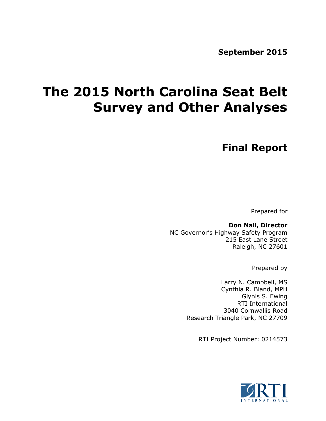**September 2015**

# **The 2015 North Carolina Seat Belt Survey and Other Analyses**

## **Final Report**

Prepared for

**Don Nail, Director** NC Governor's Highway Safety Program 215 East Lane Street Raleigh, NC 27601

Prepared by

Larry N. Campbell, MS Cynthia R. Bland, MPH Glynis S. Ewing RTI International 3040 Cornwallis Road Research Triangle Park, NC 27709

RTI Project Number: 0214573

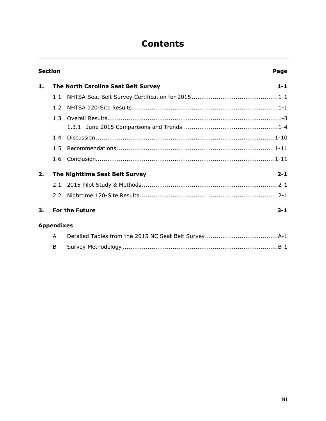## **Contents**

| <b>Section</b> |                   |                                            | Page    |
|----------------|-------------------|--------------------------------------------|---------|
| 1.             |                   | <b>The North Carolina Seat Belt Survey</b> | $1 - 1$ |
|                | 1.1               |                                            |         |
|                | 1.2               |                                            |         |
|                | 1.3               |                                            |         |
|                | 1.4               |                                            |         |
|                | 1.5               |                                            |         |
|                | 1.6               |                                            |         |
| 2.             |                   | The Nighttime Seat Belt Survey             | $2 - 1$ |
|                | 2.1               |                                            |         |
|                | 2.2               |                                            |         |
| З.             |                   | <b>For the Future</b>                      | $3 - 1$ |
|                | <b>Appendixes</b> |                                            |         |
|                | A                 |                                            |         |
|                | B                 |                                            |         |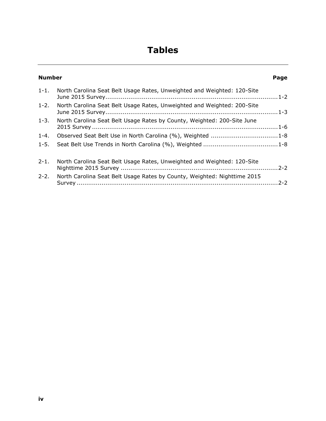## **Tables**

| <b>Number</b> |                                                                          | Page |
|---------------|--------------------------------------------------------------------------|------|
| $1 - 1$ .     | North Carolina Seat Belt Usage Rates, Unweighted and Weighted: 120-Site  |      |
| $1 - 2.$      | North Carolina Seat Belt Usage Rates, Unweighted and Weighted: 200-Site  |      |
| $1 - 3.$      | North Carolina Seat Belt Usage Rates by County, Weighted: 200-Site June  |      |
| $1 - 4.$      | Observed Seat Belt Use in North Carolina (%), Weighted 1-8               |      |
| $1 - 5.$      |                                                                          |      |
| $2 - 1$ .     | North Carolina Seat Belt Usage Rates, Unweighted and Weighted: 120-Site  |      |
| $2 - 2.$      | North Carolina Seat Belt Usage Rates by County, Weighted: Nighttime 2015 |      |
|               |                                                                          |      |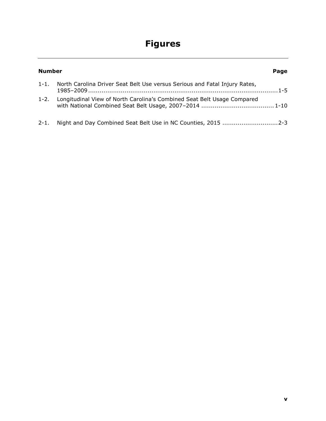## **Figures**

| <b>Number</b> |                                                                                 | Page |
|---------------|---------------------------------------------------------------------------------|------|
|               | 1-1. North Carolina Driver Seat Belt Use versus Serious and Fatal Injury Rates, |      |
| $1 - 2.$      | Longitudinal View of North Carolina's Combined Seat Belt Usage Compared         |      |
| $2 - 1.$      | Night and Day Combined Seat Belt Use in NC Counties, 2015 2-3                   |      |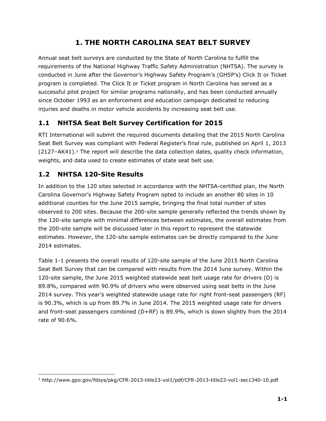## **1. THE NORTH CAROLINA SEAT BELT SURVEY**

<span id="page-6-0"></span>Annual seat belt surveys are conducted by the State of North Carolina to fulfill the requirements of the National Highway Traffic Safety Administration (NHTSA). The survey is conducted in June after the Governor's Highway Safety Program's (GHSP's) Click It or Ticket program is completed. The Click It or Ticket program in North Carolina has served as a successful pilot project for similar programs nationally, and has been conducted annually since October 1993 as an enforcement and education campaign dedicated to reducing injuries and deaths in motor vehicle accidents by increasing seat belt use.

## <span id="page-6-1"></span>**1.1 NHTSA Seat Belt Survey Certification for 2015**

RTI International will submit the required documents detailing that the 2015 North Carolina Seat Belt Survey was compliant with Federal Register's final rule, published on April 1, 2013 (2127–AK41).<sup>1</sup> The report will describe the data collection dates, quality check information, weights, and data used to create estimates of state seat belt use.

## <span id="page-6-2"></span>**1.2 NHTSA 120-Site Results**

 $\overline{a}$ 

In addition to the 120 sites selected in accordance with the NHTSA-certified plan, the North Carolina Governor's Highway Safety Program opted to include an another 80 sites in 10 additional counties for the June 2015 sample, bringing the final total number of sites observed to 200 sites. Because the 200-site sample generally reflected the trends shown by the 120-site sample with minimal differences between estimates, the overall estimates from the 200-site sample will be discussed later in this report to represent the statewide estimates. However, the 120-site sample estimates can be directly compared to the June 2014 estimates.

Table 1-1 presents the overall results of 120-site sample of the June 2015 North Carolina Seat Belt Survey that can be compared with results from the 2014 June survey. Within the 120-site sample, the June 2015 weighted statewide seat belt usage rate for drivers (D) is 89.8%, compared with 90.9% of drivers who were observed using seat belts in the June 2014 survey. This year's weighted statewide usage rate for right front-seat passengers (RF) is 90.3%, which is up from 89.7% in June 2014. The 2015 weighted usage rate for drivers and front-seat passengers combined (D+RF) is 89.9%, which is down slightly from the 2014 rate of 90.6%.

<sup>1</sup> http://www.gpo.gov/fdsys/pkg/CFR-2013-title23-vol1/pdf/CFR-2013-title23-vol1-sec1340-10.pdf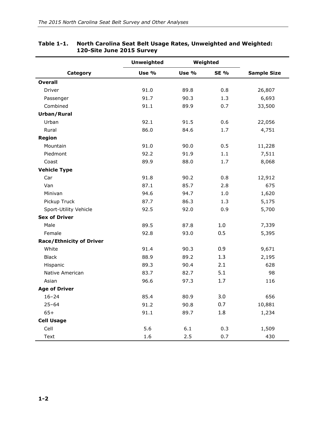|                                 | <b>Unweighted</b> |         | Weighted    |                    |
|---------------------------------|-------------------|---------|-------------|--------------------|
| Category                        | Use %             | Use %   | <b>SE %</b> | <b>Sample Size</b> |
| <b>Overall</b>                  |                   |         |             |                    |
| Driver                          | 91.0              | 89.8    | 0.8         | 26,807             |
| Passenger                       | 91.7              | 90.3    | 1.3         | 6,693              |
| Combined                        | 91.1              | 89.9    | 0.7         | 33,500             |
| Urban/Rural                     |                   |         |             |                    |
| Urban                           | 92.1              | 91.5    | 0.6         | 22,056             |
| Rural                           | 86.0              | 84.6    | 1.7         | 4,751              |
| <b>Region</b>                   |                   |         |             |                    |
| Mountain                        | 91.0              | 90.0    | 0.5         | 11,228             |
| Piedmont                        | 92.2              | 91.9    | 1.1         | 7,511              |
| Coast                           | 89.9              | 88.0    | 1.7         | 8,068              |
| <b>Vehicle Type</b>             |                   |         |             |                    |
| Car                             | 91.8              | 90.2    | 0.8         | 12,912             |
| Van                             | 87.1              | 85.7    | 2.8         | 675                |
| Minivan                         | 94.6              | 94.7    | 1.0         | 1,620              |
| Pickup Truck                    | 87.7              | 86.3    | 1.3         | 5,175              |
| Sport-Utility Vehicle           | 92.5              | 92.0    | 0.9         | 5,700              |
| <b>Sex of Driver</b>            |                   |         |             |                    |
| Male                            | 89.5              | 87.8    | 1.0         | 7,339              |
| Female                          | 92.8              | 93.0    | 0.5         | 5,395              |
| <b>Race/Ethnicity of Driver</b> |                   |         |             |                    |
| White                           | 91.4              | 90.3    | 0.9         | 9,671              |
| <b>Black</b>                    | 88.9              | 89.2    | 1.3         | 2,195              |
| Hispanic                        | 89.3              | 90.4    | 2.1         | 628                |
| Native American                 | 83.7              | 82.7    | 5.1         | 98                 |
| Asian                           | 96.6              | 97.3    | 1.7         | 116                |
| <b>Age of Driver</b>            |                   |         |             |                    |
| $16 - 24$                       | 85.4              | 80.9    | 3.0         | 656                |
| $25 - 64$                       | 91.2              | 90.8    | 0.7         | 10,881             |
| $65+$                           | 91.1              | 89.7    | 1.8         | 1,234              |
| <b>Cell Usage</b>               |                   |         |             |                    |
| Cell                            | 5.6               | $6.1\,$ | 0.3         | 1,509              |
| Text                            | 1.6               | 2.5     | 0.7         | 430                |

#### **Table 1-1. North Carolina Seat Belt Usage Rates, Unweighted and Weighted: 120-Site June 2015 Survey**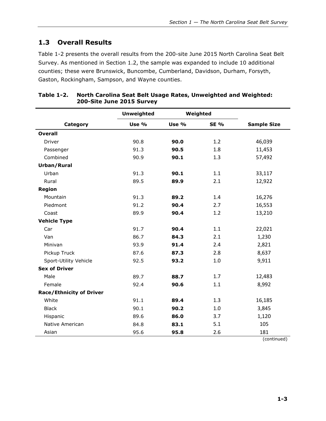### <span id="page-8-0"></span>**1.3 Overall Results**

Table 1-2 presents the overall results from the 200-site June 2015 North Carolina Seat Belt Survey. As mentioned in Section 1.2, the sample was expanded to include 10 additional counties; these were Brunswick, Buncombe, Cumberland, Davidson, Durham, Forsyth, Gaston, Rockingham, Sampson, and Wayne counties.

|                                 | <b>Unweighted</b> | Weighted |             |                    |
|---------------------------------|-------------------|----------|-------------|--------------------|
| Category                        | Use %             | Use %    | <b>SE %</b> | <b>Sample Size</b> |
| <b>Overall</b>                  |                   |          |             |                    |
| Driver                          | 90.8              | 90.0     | 1.2         | 46,039             |
| Passenger                       | 91.3              | 90.5     | 1.8         | 11,453             |
| Combined                        | 90.9              | 90.1     | 1.3         | 57,492             |
| Urban/Rural                     |                   |          |             |                    |
| Urban                           | 91.3              | 90.1     | 1.1         | 33,117             |
| Rural                           | 89.5              | 89.9     | 2.1         | 12,922             |
| <b>Region</b>                   |                   |          |             |                    |
| Mountain                        | 91.3              | 89.2     | 1.4         | 16,276             |
| Piedmont                        | 91.2              | 90.4     | 2.7         | 16,553             |
| Coast                           | 89.9              | 90.4     | 1.2         | 13,210             |
| <b>Vehicle Type</b>             |                   |          |             |                    |
| Car                             | 91.7              | 90.4     | 1.1         | 22,021             |
| Van                             | 86.7              | 84.3     | 2.1         | 1,230              |
| Minivan                         | 93.9              | 91.4     | 2.4         | 2,821              |
| Pickup Truck                    | 87.6              | 87.3     | 2.8         | 8,637              |
| Sport-Utility Vehicle           | 92.5              | 93.2     | 1.0         | 9,911              |
| <b>Sex of Driver</b>            |                   |          |             |                    |
| Male                            | 89.7              | 88.7     | 1.7         | 12,483             |
| Female                          | 92.4              | 90.6     | 1.1         | 8,992              |
| <b>Race/Ethnicity of Driver</b> |                   |          |             |                    |
| White                           | 91.1              | 89.4     | 1.3         | 16,185             |
| <b>Black</b>                    | 90.1              | 90.2     | 1.0         | 3,845              |
| Hispanic                        | 89.6              | 86.0     | 3.7         | 1,120              |
| Native American                 | 84.8              | 83.1     | 5.1         | 105                |
| Asian                           | 95.6              | 95.8     | 2.6         | 181                |

#### **Table 1-2. North Carolina Seat Belt Usage Rates, Unweighted and Weighted: 200-Site June 2015 Survey**

(continued)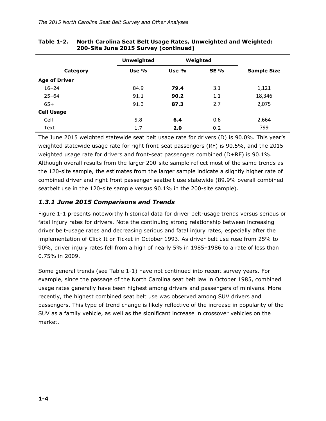|                      | <b>Unweighted</b> |         | Weighted    |                    |  |
|----------------------|-------------------|---------|-------------|--------------------|--|
| Category             | Use %             | Use $%$ | <b>SE %</b> | <b>Sample Size</b> |  |
| <b>Age of Driver</b> |                   |         |             |                    |  |
| $16 - 24$            | 84.9              | 79.4    | 3.1         | 1,121              |  |
| $25 - 64$            | 91.1              | 90.2    | 1.1         | 18,346             |  |
| $65+$                | 91.3              | 87.3    | 2.7         | 2,075              |  |
| <b>Cell Usage</b>    |                   |         |             |                    |  |
| Cell                 | 5.8               | 6.4     | 0.6         | 2,664              |  |
| Text                 | 1.7               | 2.0     | 0.2         | 799                |  |

#### **Table 1-2. North Carolina Seat Belt Usage Rates, Unweighted and Weighted: 200-Site June 2015 Survey (continued)**

The June 2015 weighted statewide seat belt usage rate for drivers (D) is 90.0%. This year's weighted statewide usage rate for right front-seat passengers (RF) is 90.5%, and the 2015 weighted usage rate for drivers and front-seat passengers combined (D+RF) is 90.1%. Although overall results from the larger 200-site sample reflect most of the same trends as the 120-site sample, the estimates from the larger sample indicate a slightly higher rate of combined driver and right front passenger seatbelt use statewide (89.9% overall combined seatbelt use in the 120-site sample versus 90.1% in the 200-site sample).

#### <span id="page-9-0"></span>*1.3.1 June 2015 Comparisons and Trends*

Figure 1-1 presents noteworthy historical data for driver belt-usage trends versus serious or fatal injury rates for drivers. Note the continuing strong relationship between increasing driver belt-usage rates and decreasing serious and fatal injury rates, especially after the implementation of Click It or Ticket in October 1993. As driver belt use rose from 25% to 90%, driver injury rates fell from a high of nearly 5% in 1985–1986 to a rate of less than 0.75% in 2009.

Some general trends (see Table 1-1) have not continued into recent survey years. For example, since the passage of the North Carolina seat belt law in October 1985, combined usage rates generally have been highest among drivers and passengers of minivans. More recently, the highest combined seat belt use was observed among SUV drivers and passengers. This type of trend change is likely reflective of the increase in popularity of the SUV as a family vehicle, as well as the significant increase in crossover vehicles on the market.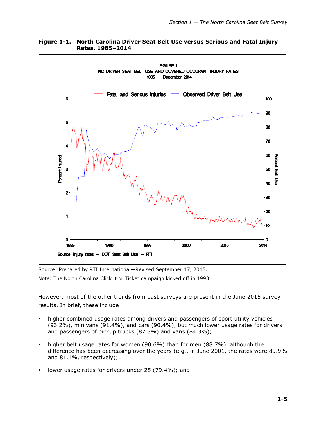

**Figure 1-1. North Carolina Driver Seat Belt Use versus Serious and Fatal Injury Rates, 1985–2014**

Source: Prepared by RTI International—Revised September 17, 2015. Note: The North Carolina Click it or Ticket campaign kicked off in 1993.

However, most of the other trends from past surveys are present in the June 2015 survey results. In brief, these include

- higher combined usage rates among drivers and passengers of sport utility vehicles (93.2%), minivans (91.4%), and cars (90.4%), but much lower usage rates for drivers and passengers of pickup trucks (87.3%) and vans (84.3%);
- higher belt usage rates for women (90.6%) than for men (88.7%), although the difference has been decreasing over the years (e.g., in June 2001, the rates were 89.9% and 81.1%, respectively);
- lower usage rates for drivers under 25 (79.4%); and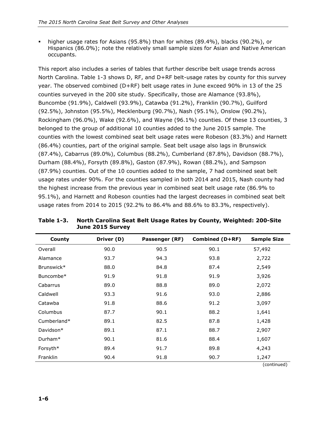higher usage rates for Asians (95.8%) than for whites (89.4%), blacks (90.2%), or Hispanics (86.0%); note the relatively small sample sizes for Asian and Native American occupants.

This report also includes a series of tables that further describe belt usage trends across North Carolina. Table 1-3 shows D, RF, and D+RF belt-usage rates by county for this survey year. The observed combined (D+RF) belt usage rates in June exceed 90% in 13 of the 25 counties surveyed in the 200 site study. Specifically, those are Alamance (93.8%), Buncombe (91.9%), Caldwell (93.9%), Catawba (91.2%), Franklin (90.7%), Guilford (92.5%), Johnston (95.5%), Mecklenburg (90.7%), Nash (95.1%), Onslow (90.2%), Rockingham (96.0%), Wake (92.6%), and Wayne (96.1%) counties. Of these 13 counties, 3 belonged to the group of additional 10 counties added to the June 2015 sample. The counties with the lowest combined seat belt usage rates were Robeson (83.3%) and Harnett (86.4%) counties, part of the original sample. Seat belt usage also lags in Brunswick (87.4%), Cabarrus (89.0%), Columbus (88.2%), Cumberland (87.8%), Davidson (88.7%), Durham (88.4%), Forsyth (89.8%), Gaston (87.9%), Rowan (88.2%), and Sampson (87.9%) counties. Out of the 10 counties added to the sample, 7 had combined seat belt usage rates under 90%. For the counties sampled in both 2014 and 2015, Nash county had the highest increase from the previous year in combined seat belt usage rate (86.9% to 95.1%), and Harnett and Robeson counties had the largest decreases in combined seat belt usage rates from 2014 to 2015 (92.2% to 86.4% and 88.6% to 83.3%, respectively).

| County      | Driver (D) | Passenger (RF) | Combined (D+RF) | <b>Sample Size</b> |
|-------------|------------|----------------|-----------------|--------------------|
| Overall     | 90.0       | 90.5           | 90.1            | 57,492             |
| Alamance    | 93.7       | 94.3           | 93.8            | 2,722              |
| Brunswick*  | 88.0       | 84.8           | 87.4            | 2,549              |
| Buncombe*   | 91.9       | 91.8           | 91.9            | 3,926              |
| Cabarrus    | 89.0       | 88.8           | 89.0            | 2,072              |
| Caldwell    | 93.3       | 91.6           | 93.0            | 2,886              |
| Catawba     | 91.8       | 88.6           | 91.2            | 3,097              |
| Columbus    | 87.7       | 90.1           | 88.2            | 1,641              |
| Cumberland* | 89.1       | 82.5           | 87.8            | 1,428              |
| Davidson*   | 89.1       | 87.1           | 88.7            | 2,907              |
| Durham*     | 90.1       | 81.6           | 88.4            | 1,607              |
| Forsyth*    | 89.4       | 91.7           | 89.8            | 4,243              |
| Franklin    | 90.4       | 91.8           | 90.7            | 1,247              |

**Table 1-3. North Carolina Seat Belt Usage Rates by County, Weighted: 200-Site June 2015 Survey**

(continued)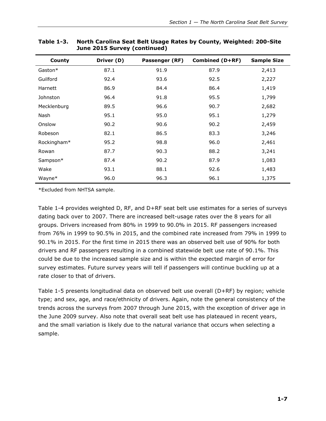| County      | Driver (D) | Passenger (RF) | Combined (D+RF) | <b>Sample Size</b> |
|-------------|------------|----------------|-----------------|--------------------|
| Gaston*     | 87.1       | 91.9           | 87.9            | 2,413              |
| Guilford    | 92.4       | 93.6           | 92.5            | 2,227              |
| Harnett     | 86.9       | 84.4           | 86.4            | 1,419              |
| Johnston    | 96.4       | 91.8           | 95.5            | 1,799              |
| Mecklenburg | 89.5       | 96.6           | 90.7            | 2,682              |
| <b>Nash</b> | 95.1       | 95.0           | 95.1            | 1,279              |
| Onslow      | 90.2       | 90.6           | 90.2            | 2,459              |
| Robeson     | 82.1       | 86.5           | 83.3            | 3,246              |
| Rockingham* | 95.2       | 98.8           | 96.0            | 2,461              |
| Rowan       | 87.7       | 90.3           | 88.2            | 3,241              |
| Sampson*    | 87.4       | 90.2           | 87.9            | 1,083              |
| Wake        | 93.1       | 88.1           | 92.6            | 1,483              |
| Wayne*      | 96.0       | 96.3           | 96.1            | 1,375              |

**Table 1-3. North Carolina Seat Belt Usage Rates by County, Weighted: 200-Site June 2015 Survey (continued)**

\*Excluded from NHTSA sample.

Table 1-4 provides weighted D, RF, and D+RF seat belt use estimates for a series of surveys dating back over to 2007. There are increased belt-usage rates over the 8 years for all groups. Drivers increased from 80% in 1999 to 90.0% in 2015. RF passengers increased from 76% in 1999 to 90.5% in 2015, and the combined rate increased from 79% in 1999 to 90.1% in 2015. For the first time in 2015 there was an observed belt use of 90% for both drivers and RF passengers resulting in a combined statewide belt use rate of 90.1%. This could be due to the increased sample size and is within the expected margin of error for survey estimates. Future survey years will tell if passengers will continue buckling up at a rate closer to that of drivers.

Table 1-5 presents longitudinal data on observed belt use overall (D+RF) by region; vehicle type; and sex, age, and race/ethnicity of drivers. Again, note the general consistency of the trends across the surveys from 2007 through June 2015, with the exception of driver age in the June 2009 survey. Also note that overall seat belt use has plateaued in recent years, and the small variation is likely due to the natural variance that occurs when selecting a sample.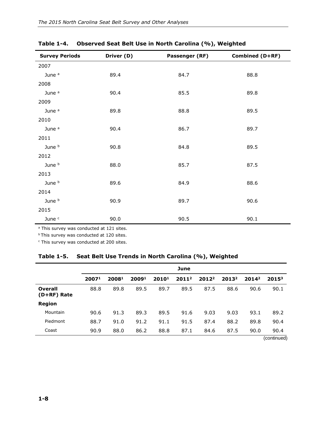| <b>Survey Periods</b> | Driver (D) | Passenger (RF) | Combined (D+RF) |
|-----------------------|------------|----------------|-----------------|
| 2007                  |            |                |                 |
| June <sup>a</sup>     | 89.4       | 84.7           | 88.8            |
| 2008                  |            |                |                 |
| June <sup>a</sup>     | 90.4       | 85.5           | 89.8            |
| 2009                  |            |                |                 |
| June <sup>a</sup>     | 89.8       | 88.8           | 89.5            |
| 2010                  |            |                |                 |
| June <sup>a</sup>     | 90.4       | 86.7           | 89.7            |
| 2011                  |            |                |                 |
| June b                | 90.8       | 84.8           | 89.5            |
| 2012                  |            |                |                 |
| June b                | 88.0       | 85.7           | 87.5            |
| 2013                  |            |                |                 |
| June b                | 89.6       | 84.9           | 88.6            |
| 2014                  |            |                |                 |
| June b                | 90.9       | 89.7           | 90.6            |
| 2015                  |            |                |                 |
| June <sup>c</sup>     | 90.0       | 90.5           | 90.1            |

**Table 1-4. Observed Seat Belt Use in North Carolina (%), Weighted**

<sup>a</sup> This survey was conducted at 121 sites.

**b This survey was conducted at 120 sites.** 

<sup>c</sup> This survey was conducted at 200 sites.

#### **Table 1-5. Seat Belt Use Trends in North Carolina (%), Weighted**

|                               |                   |                   |       |                   | June              |          |                   |                   |             |
|-------------------------------|-------------------|-------------------|-------|-------------------|-------------------|----------|-------------------|-------------------|-------------|
|                               |                   |                   |       |                   |                   |          |                   |                   |             |
|                               | 2007 <sup>1</sup> | 2008 <sup>1</sup> | 20091 | 2010 <sup>1</sup> | 2011 <sup>2</sup> | $2012^2$ | 2013 <sup>2</sup> | 2014 <sup>2</sup> | $2015^3$    |
| <b>Overall</b><br>(D+RF) Rate | 88.8              | 89.8              | 89.5  | 89.7              | 89.5              | 87.5     | 88.6              | 90.6              | 90.1        |
| <b>Region</b>                 |                   |                   |       |                   |                   |          |                   |                   |             |
| Mountain                      | 90.6              | 91.3              | 89.3  | 89.5              | 91.6              | 9.03     | 9.03              | 93.1              | 89.2        |
| Piedmont                      | 88.7              | 91.0              | 91.2  | 91.1              | 91.5              | 87.4     | 88.2              | 89.8              | 90.4        |
| Coast                         | 90.9              | 88.0              | 86.2  | 88.8              | 87.1              | 84.6     | 87.5              | 90.0              | 90.4        |
|                               |                   |                   |       |                   |                   |          |                   |                   | (continued) |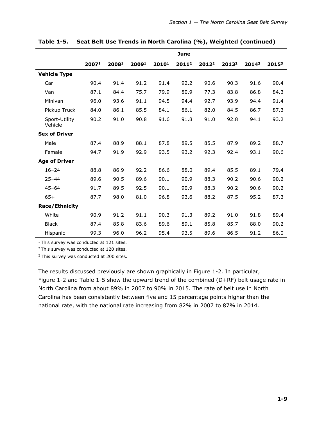|                          |       |       |       |       | June              |                   |                   |                   |          |
|--------------------------|-------|-------|-------|-------|-------------------|-------------------|-------------------|-------------------|----------|
|                          | 20071 | 20081 | 20091 | 20101 | 2011 <sup>2</sup> | 2012 <sup>2</sup> | 2013 <sup>2</sup> | 2014 <sup>2</sup> | $2015^3$ |
| <b>Vehicle Type</b>      |       |       |       |       |                   |                   |                   |                   |          |
| Car                      | 90.4  | 91.4  | 91.2  | 91.4  | 92.2              | 90.6              | 90.3              | 91.6              | 90.4     |
| Van                      | 87.1  | 84.4  | 75.7  | 79.9  | 80.9              | 77.3              | 83.8              | 86.8              | 84.3     |
| Minivan                  | 96.0  | 93.6  | 91.1  | 94.5  | 94.4              | 92.7              | 93.9              | 94.4              | 91.4     |
| Pickup Truck             | 84.0  | 86.1  | 85.5  | 84.1  | 86.1              | 82.0              | 84.5              | 86.7              | 87.3     |
| Sport-Utility<br>Vehicle | 90.2  | 91.0  | 90.8  | 91.6  | 91.8              | 91.0              | 92.8              | 94.1              | 93.2     |
| <b>Sex of Driver</b>     |       |       |       |       |                   |                   |                   |                   |          |
| Male                     | 87.4  | 88.9  | 88.1  | 87.8  | 89.5              | 85.5              | 87.9              | 89.2              | 88.7     |
| Female                   | 94.7  | 91.9  | 92.9  | 93.5  | 93.2              | 92.3              | 92.4              | 93.1              | 90.6     |
| <b>Age of Driver</b>     |       |       |       |       |                   |                   |                   |                   |          |
| $16 - 24$                | 88.8  | 86.9  | 92.2  | 86.6  | 88.0              | 89.4              | 85.5              | 89.1              | 79.4     |
| $25 - 44$                | 89.6  | 90.5  | 89.6  | 90.1  | 90.9              | 88.3              | 90.2              | 90.6              | 90.2     |
| $45 - 64$                | 91.7  | 89.5  | 92.5  | 90.1  | 90.9              | 88.3              | 90.2              | 90.6              | 90.2     |
| $65+$                    | 87.7  | 98.0  | 81.0  | 96.8  | 93.6              | 88.2              | 87.5              | 95.2              | 87.3     |
| Race/Ethnicity           |       |       |       |       |                   |                   |                   |                   |          |
| White                    | 90.9  | 91.2  | 91.1  | 90.3  | 91.3              | 89.2              | 91.0              | 91.8              | 89.4     |
| <b>Black</b>             | 87.4  | 85.8  | 83.6  | 89.6  | 89.1              | 85.8              | 85.7              | 88.0              | 90.2     |
| Hispanic                 | 99.3  | 96.0  | 96.2  | 95.4  | 93.5              | 89.6              | 86.5              | 91.2              | 86.0     |

**Table 1-5. Seat Belt Use Trends in North Carolina (%), Weighted (continued)**

<sup>1</sup> This survey was conducted at 121 sites.

<sup>2</sup> This survey was conducted at 120 sites.

 $3$  This survey was conducted at 200 sites.

The results discussed previously are shown graphically in Figure 1-2. In particular, Figure 1-2 and Table 1-5 show the upward trend of the combined (D+RF) belt usage rate in North Carolina from about 89% in 2007 to 90% in 2015. The rate of belt use in North Carolina has been consistently between five and 15 percentage points higher than the national rate, with the national rate increasing from 82% in 2007 to 87% in 2014.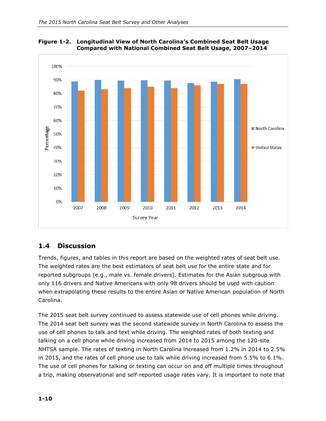

**Figure 1-2. Longitudinal View of North Carolina's Combined Seat Belt Usage Compared with National Combined Seat Belt Usage, 2007–2014**

## <span id="page-15-0"></span>**1.4 Discussion**

Trends, figures, and tables in this report are based on the weighted rates of seat belt use. The weighted rates are the best estimators of seat belt use for the entire state and for reported subgroups (e.g., male vs. female drivers). Estimates for the Asian subgroup with only 116 drivers and Native Americans with only 98 drivers should be used with caution when extrapolating these results to the entire Asian or Native American population of North Carolina.

The 2015 seat belt survey continued to assess statewide use of cell phones while driving. The 2014 seat belt survey was the second statewide survey in North Carolina to assess the use of cell phones to talk and text while driving. The weighted rates of both texting and talking on a cell phone while driving increased from 2014 to 2015 among the 120-site NHTSA sample. The rates of texting in North Carolina increased from 1.2% in 2014 to 2.5% in 2015, and the rates of cell phone use to talk while driving increased from 5.5% to 6.1%. The use of cell phones for talking or texting can occur on and off multiple times throughout a trip, making observational and self-reported usage rates vary. It is important to note that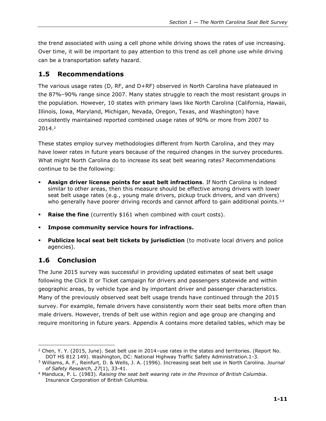the trend associated with using a cell phone while driving shows the rates of use increasing. Over time, it will be important to pay attention to this trend as cell phone use while driving can be a transportation safety hazard.

#### <span id="page-16-0"></span>**1.5 Recommendations**

The various usage rates (D, RF, and D+RF) observed in North Carolina have plateaued in the 87%–90% range since 2007. Many states struggle to reach the most resistant groups in the population. However, 10 states with primary laws like North Carolina (California, Hawaii, Illinois, Iowa, Maryland, Michigan, Nevada, Oregon, Texas, and Washington) have consistently maintained reported combined usage rates of 90% or more from 2007 to 2014. 2

These states employ survey methodologies different from North Carolina, and they may have lower rates in future years because of the required changes in the survey procedures. What might North Carolina do to increase its seat belt wearing rates? Recommendations continue to be the following:

- **Assign driver license points for seat belt infractions**. If North Carolina is indeed similar to other areas, then this measure should be effective among drivers with lower seat belt usage rates (e.g., young male drivers, pickup truck drivers, and van drivers) who generally have poorer driving records and cannot afford to gain additional points. $3,4$
- **Raise the fine** (currently \$161 when combined with court costs).
- **Impose community service hours for infractions.**
- **Publicize local seat belt tickets by jurisdiction** (to motivate local drivers and police agencies).

## <span id="page-16-1"></span>**1.6 Conclusion**

The June 2015 survey was successful in providing updated estimates of seat belt usage following the Click It or Ticket campaign for drivers and passengers statewide and within geographic areas, by vehicle type and by important driver and passenger characteristics. Many of the previously observed seat belt usage trends have continued through the 2015 survey. For example, female drivers have consistently worn their seat belts more often than male drivers. However, trends of belt use within region and age group are changing and require monitoring in future years. Appendix A contains more detailed tables, which may be

 $\overline{a}$ <sup>2</sup> Chen, Y. Y. (2015, June). Seat belt use in 2014-use rates in the states and territories. (Report No. DOT HS 812 149). Washington, DC: National Highway Traffic Safety Administration.1-3.

<sup>3</sup> Williams, A. F., Reinfurt, D. & Wells, J. A. (1996). Increasing seat belt use in North Carolina. *Journal of Safety Research*, *27*(1), 33-41.

<sup>4</sup> Manduca, P. L. (1983). *Raising the seat belt wearing rate in the Province of British Columbia*. Insurance Corporation of British Columbia.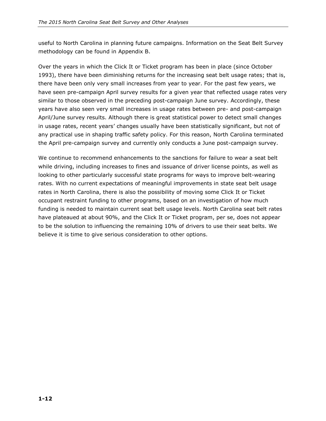useful to North Carolina in planning future campaigns. Information on the Seat Belt Survey methodology can be found in Appendix B.

Over the years in which the Click It or Ticket program has been in place (since October 1993), there have been diminishing returns for the increasing seat belt usage rates; that is, there have been only very small increases from year to year. For the past few years, we have seen pre-campaign April survey results for a given year that reflected usage rates very similar to those observed in the preceding post-campaign June survey. Accordingly, these years have also seen very small increases in usage rates between pre- and post-campaign April/June survey results. Although there is great statistical power to detect small changes in usage rates, recent years' changes usually have been statistically significant, but not of any practical use in shaping traffic safety policy. For this reason, North Carolina terminated the April pre-campaign survey and currently only conducts a June post-campaign survey.

We continue to recommend enhancements to the sanctions for failure to wear a seat belt while driving, including increases to fines and issuance of driver license points, as well as looking to other particularly successful state programs for ways to improve belt-wearing rates. With no current expectations of meaningful improvements in state seat belt usage rates in North Carolina, there is also the possibility of moving some Click It or Ticket occupant restraint funding to other programs, based on an investigation of how much funding is needed to maintain current seat belt usage levels. North Carolina seat belt rates have plateaued at about 90%, and the Click It or Ticket program, per se, does not appear to be the solution to influencing the remaining 10% of drivers to use their seat belts. We believe it is time to give serious consideration to other options.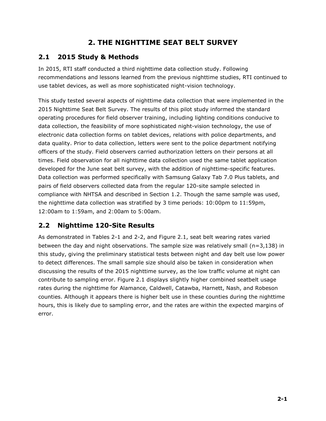## **2. THE NIGHTTIME SEAT BELT SURVEY**

### <span id="page-18-1"></span><span id="page-18-0"></span>**2.1 2015 Study & Methods**

In 2015, RTI staff conducted a third nighttime data collection study. Following recommendations and lessons learned from the previous nighttime studies, RTI continued to use tablet devices, as well as more sophisticated night-vision technology.

This study tested several aspects of nighttime data collection that were implemented in the 2015 Nighttime Seat Belt Survey. The results of this pilot study informed the standard operating procedures for field observer training, including lighting conditions conducive to data collection, the feasibility of more sophisticated night-vision technology, the use of electronic data collection forms on tablet devices, relations with police departments, and data quality. Prior to data collection, letters were sent to the police department notifying officers of the study. Field observers carried authorization letters on their persons at all times. Field observation for all nighttime data collection used the same tablet application developed for the June seat belt survey, with the addition of nighttime-specific features. Data collection was performed specifically with Samsung Galaxy Tab 7.0 Plus tablets, and pairs of field observers collected data from the regular 120-site sample selected in compliance with NHTSA and described in Section 1.2. Though the same sample was used, the nighttime data collection was stratified by 3 time periods: 10:00pm to 11:59pm, 12:00am to 1:59am, and 2:00am to 5:00am.

#### <span id="page-18-2"></span>**2.2 Nighttime 120-Site Results**

As demonstrated in Tables 2-1 and 2-2, and Figure 2.1, seat belt wearing rates varied between the day and night observations. The sample size was relatively small (n=3,138) in this study, giving the preliminary statistical tests between night and day belt use low power to detect differences. The small sample size should also be taken in consideration when discussing the results of the 2015 nighttime survey, as the low traffic volume at night can contribute to sampling error. Figure 2.1 displays slightly higher combined seatbelt usage rates during the nighttime for Alamance, Caldwell, Catawba, Harnett, Nash, and Robeson counties. Although it appears there is higher belt use in these counties during the nighttime hours, this is likely due to sampling error, and the rates are within the expected margins of error.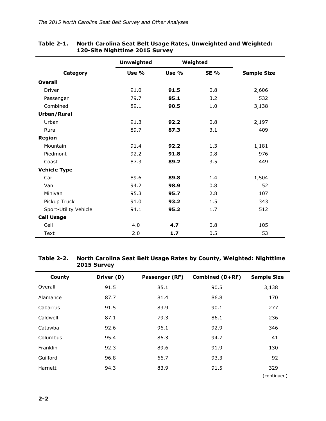|                       | <b>Unweighted</b> | Weighted |             |                    |
|-----------------------|-------------------|----------|-------------|--------------------|
| Category              | Use %             | Use %    | <b>SE %</b> | <b>Sample Size</b> |
| <b>Overall</b>        |                   |          |             |                    |
| Driver                | 91.0              | 91.5     | 0.8         | 2,606              |
| Passenger             | 79.7              | 85.1     | 3.2         | 532                |
| Combined              | 89.1              | 90.5     | 1.0         | 3,138              |
| Urban/Rural           |                   |          |             |                    |
| Urban                 | 91.3              | 92.2     | 0.8         | 2,197              |
| Rural                 | 89.7              | 87.3     | 3.1         | 409                |
| <b>Region</b>         |                   |          |             |                    |
| Mountain              | 91.4              | 92.2     | 1.3         | 1,181              |
| Piedmont              | 92.2              | 91.8     | 0.8         | 976                |
| Coast                 | 87.3              | 89.2     | 3.5         | 449                |
| <b>Vehicle Type</b>   |                   |          |             |                    |
| Car                   | 89.6              | 89.8     | 1.4         | 1,504              |
| Van                   | 94.2              | 98.9     | 0.8         | 52                 |
| Minivan               | 95.3              | 95.7     | 2.8         | 107                |
| Pickup Truck          | 91.0              | 93.2     | 1.5         | 343                |
| Sport-Utility Vehicle | 94.1              | 95.2     | 1.7         | 512                |
| <b>Cell Usage</b>     |                   |          |             |                    |
| Cell                  | 4.0               | 4.7      | 0.8         | 105                |
| Text                  | 2.0               | 1.7      | 0.5         | 53                 |

#### **Table 2-1. North Carolina Seat Belt Usage Rates, Unweighted and Weighted: 120-Site Nighttime 2015 Survey**

#### **Table 2-2. North Carolina Seat Belt Usage Rates by County, Weighted: Nighttime 2015 Survey**

| County          | Driver (D) | Passenger (RF) | Combined (D+RF) | <b>Sample Size</b> |
|-----------------|------------|----------------|-----------------|--------------------|
| Overall         | 91.5       | 85.1           | 90.5            | 3,138              |
| Alamance        | 87.7       | 81.4           | 86.8            | 170                |
| Cabarrus        | 91.5       | 83.9           | 90.1            | 277                |
| Caldwell        | 87.1       | 79.3           | 86.1            | 236                |
| Catawba         | 92.6       | 96.1           | 92.9            | 346                |
| Columbus        | 95.4       | 86.3           | 94.7            | 41                 |
| <b>Franklin</b> | 92.3       | 89.6           | 91.9            | 130                |
| Guilford        | 96.8       | 66.7           | 93.3            | 92                 |
| Harnett         | 94.3       | 83.9           | 91.5            | 329                |
|                 |            |                |                 | (continued)        |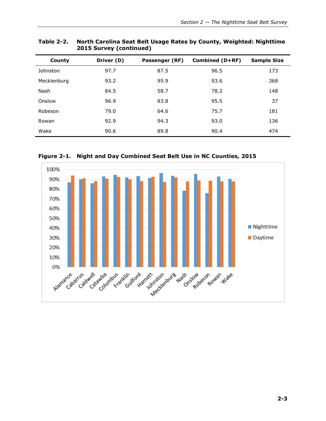| County      | Driver (D) | Passenger (RF) | Combined (D+RF) | <b>Sample Size</b> |
|-------------|------------|----------------|-----------------|--------------------|
| Johnston    | 97.7       | 87.5           | 96.5            | 173                |
| Mecklenburg | 93.2       | 95.9           | 93.6            | 368                |
| <b>Nash</b> | 84.5       | 58.7           | 78.2            | 148                |
| Onslow      | 96.9       | 83.8           | 95.5            | 37                 |
| Robeson     | 79.0       | 64.6           | 75.7            | 181                |
| Rowan       | 92.9       | 94.3           | 93.0            | 136                |
| Wake        | 90.6       | 89.8           | 90.4            | 474                |

| Table 2-2. | North Carolina Seat Belt Usage Rates by County, Weighted: Nighttime |
|------------|---------------------------------------------------------------------|
|            | 2015 Survey (continued)                                             |

**Figure 2-1. Night and Day Combined Seat Belt Use in NC Counties, 2015**

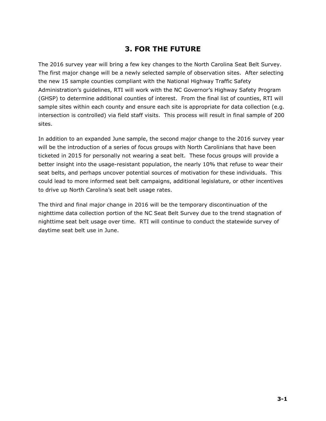## **3. FOR THE FUTURE**

<span id="page-22-0"></span>The 2016 survey year will bring a few key changes to the North Carolina Seat Belt Survey. The first major change will be a newly selected sample of observation sites. After selecting the new 15 sample counties compliant with the National Highway Traffic Safety Administration's guidelines, RTI will work with the NC Governor's Highway Safety Program (GHSP) to determine additional counties of interest. From the final list of counties, RTI will sample sites within each county and ensure each site is appropriate for data collection (e.g. intersection is controlled) via field staff visits. This process will result in final sample of 200 sites.

In addition to an expanded June sample, the second major change to the 2016 survey year will be the introduction of a series of focus groups with North Carolinians that have been ticketed in 2015 for personally not wearing a seat belt. These focus groups will provide a better insight into the usage-resistant population, the nearly 10% that refuse to wear their seat belts, and perhaps uncover potential sources of motivation for these individuals. This could lead to more informed seat belt campaigns, additional legislature, or other incentives to drive up North Carolina's seat belt usage rates.

The third and final major change in 2016 will be the temporary discontinuation of the nighttime data collection portion of the NC Seat Belt Survey due to the trend stagnation of nighttime seat belt usage over time. RTI will continue to conduct the statewide survey of daytime seat belt use in June.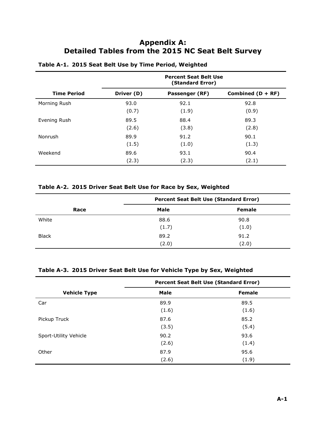## **Appendix A: Detailed Tables from the 2015 NC Seat Belt Survey**

|                    | <b>Percent Seat Belt Use</b><br>(Standard Error) |                |                     |
|--------------------|--------------------------------------------------|----------------|---------------------|
| <b>Time Period</b> | Driver (D)                                       | Passenger (RF) | Combined $(D + RF)$ |
| Morning Rush       | 93.0                                             | 92.1           | 92.8                |
|                    | (0.7)                                            | (1.9)          | (0.9)               |
| Evening Rush       | 89.5                                             | 88.4           | 89.3                |
|                    | (2.6)                                            | (3.8)          | (2.8)               |
| Nonrush            | 89.9                                             | 91.2           | 90.1                |
|                    | (1.5)                                            | (1.0)          | (1.3)               |
| Weekend            | 89.6                                             | 93.1           | 90.4                |
|                    | (2.3)                                            | (2.3)          | (2.1)               |

#### **Table A-1. 2015 Seat Belt Use by Time Period, Weighted**

#### **Table A-2. 2015 Driver Seat Belt Use for Race by Sex, Weighted**

|              | Percent Seat Belt Use (Standard Error) |               |  |
|--------------|----------------------------------------|---------------|--|
| Race         | <b>Male</b>                            | <b>Female</b> |  |
| White        | 88.6                                   | 90.8          |  |
|              | (1.7)                                  | (1.0)         |  |
| <b>Black</b> | 89.2                                   | 91.2          |  |
|              | (2.0)                                  | (2.0)         |  |

#### **Table A-3. 2015 Driver Seat Belt Use for Vehicle Type by Sex, Weighted**

|                       | Percent Seat Belt Use (Standard Error) |               |  |
|-----------------------|----------------------------------------|---------------|--|
| <b>Vehicle Type</b>   | <b>Male</b>                            | <b>Female</b> |  |
| Car                   | 89.9                                   | 89.5          |  |
|                       | (1.6)                                  | (1.6)         |  |
| Pickup Truck          | 87.6                                   | 85.2          |  |
|                       | (3.5)                                  | (5.4)         |  |
| Sport-Utility Vehicle | 90.2                                   | 93.6          |  |
|                       | (2.6)                                  | (1.4)         |  |
| Other                 | 87.9                                   | 95.6          |  |
|                       | (2.6)                                  | (1.9)         |  |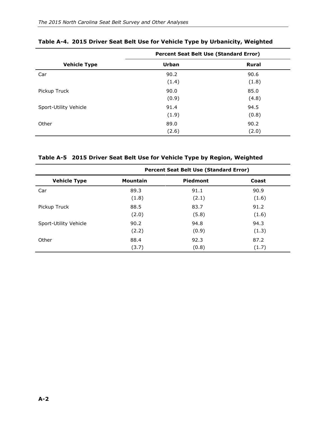|                       | Percent Seat Belt Use (Standard Error) |              |  |
|-----------------------|----------------------------------------|--------------|--|
| <b>Vehicle Type</b>   | <b>Urban</b>                           | <b>Rural</b> |  |
| Car                   | 90.2                                   | 90.6         |  |
|                       | (1.4)                                  | (1.8)        |  |
| Pickup Truck          | 90.0                                   | 85.0         |  |
|                       | (0.9)                                  | (4.8)        |  |
| Sport-Utility Vehicle | 91.4                                   | 94.5         |  |
|                       | (1.9)                                  | (0.8)        |  |
| Other                 | 89.0                                   | 90.2         |  |
|                       | (2.6)                                  | (2.0)        |  |

#### **Table A-4. 2015 Driver Seat Belt Use for Vehicle Type by Urbanicity, Weighted**

#### **Table A-5 2015 Driver Seat Belt Use for Vehicle Type by Region, Weighted**

|                       | Percent Seat Belt Use (Standard Error) |          |       |
|-----------------------|----------------------------------------|----------|-------|
| <b>Vehicle Type</b>   | <b>Mountain</b>                        | Piedmont | Coast |
| Car                   | 89.3                                   | 91.1     | 90.9  |
|                       | (1.8)                                  | (2.1)    | (1.6) |
| Pickup Truck          | 88.5                                   | 83.7     | 91.2  |
|                       | (2.0)                                  | (5.8)    | (1.6) |
| Sport-Utility Vehicle | 90.2                                   | 94.8     | 94.3  |
|                       | (2.2)                                  | (0.9)    | (1.3) |
| Other                 | 88.4                                   | 92.3     | 87.2  |
|                       | (3.7)                                  | (0.8)    | (1.7) |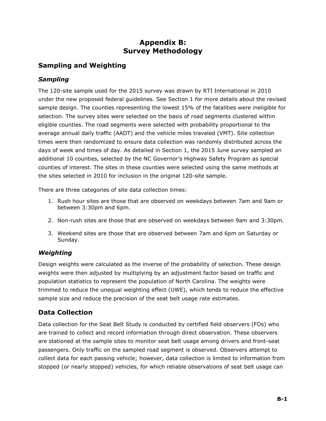## **Appendix B: Survey Methodology**

### **Sampling and Weighting**

#### *Sampling*

The 120-site sample used for the 2015 survey was drawn by RTI International in 2010 under the new proposed federal guidelines. See Section 1 for more details about the revised sample design. The counties representing the lowest 15% of the fatalities were ineligible for selection. The survey sites were selected on the basis of road segments clustered within eligible counties. The road segments were selected with probability proportional to the average annual daily traffic (AADT) and the vehicle miles traveled (VMT). Site collection times were then randomized to ensure data collection was randomly distributed across the days of week and times of day. As detailed in Section 1, the 2015 June survey sampled an additional 10 counties, selected by the NC Governor's Highway Safety Program as special counties of interest. The sites in these counties were selected using the same methods at the sites selected in 2010 for inclusion in the original 120-site sample.

There are three categories of site data collection times:

- 1. Rush hour sites are those that are observed on weekdays between 7am and 9am or between 3:30pm and 6pm.
- 2. Non-rush sites are those that are observed on weekdays between 9am and 3:30pm.
- 3. Weekend sites are those that are observed between 7am and 6pm on Saturday or Sunday.

#### *Weighting*

Design weights were calculated as the inverse of the probability of selection. These design weights were then adjusted by multiplying by an adjustment factor based on traffic and population statistics to represent the population of North Carolina. The weights were trimmed to reduce the unequal weighting effect (UWE), which tends to reduce the effective sample size and reduce the precision of the seat belt usage rate estimates.

## **Data Collection**

Data collection for the Seat Belt Study is conducted by certified field observers (FOs) who are trained to collect and record information through direct observation. These observers are stationed at the sample sites to monitor seat belt usage among drivers and front-seat passengers. Only traffic on the sampled road segment is observed. Observers attempt to collect data for each passing vehicle; however, data collection is limited to information from stopped (or nearly stopped) vehicles, for which reliable observations of seat belt usage can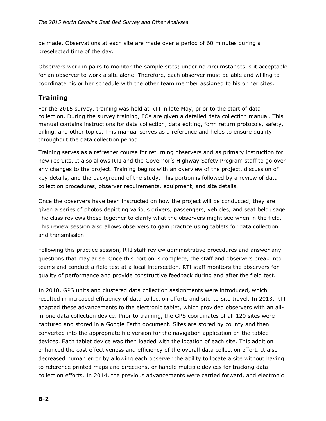be made. Observations at each site are made over a period of 60 minutes during a preselected time of the day.

Observers work in pairs to monitor the sample sites; under no circumstances is it acceptable for an observer to work a site alone. Therefore, each observer must be able and willing to coordinate his or her schedule with the other team member assigned to his or her sites.

## **Training**

For the 2015 survey, training was held at RTI in late May, prior to the start of data collection. During the survey training, FOs are given a detailed data collection manual. This manual contains instructions for data collection, data editing, form return protocols, safety, billing, and other topics. This manual serves as a reference and helps to ensure quality throughout the data collection period.

Training serves as a refresher course for returning observers and as primary instruction for new recruits. It also allows RTI and the Governor's Highway Safety Program staff to go over any changes to the project. Training begins with an overview of the project, discussion of key details, and the background of the study. This portion is followed by a review of data collection procedures, observer requirements, equipment, and site details.

Once the observers have been instructed on how the project will be conducted, they are given a series of photos depicting various drivers, passengers, vehicles, and seat belt usage. The class reviews these together to clarify what the observers might see when in the field. This review session also allows observers to gain practice using tablets for data collection and transmission.

Following this practice session, RTI staff review administrative procedures and answer any questions that may arise. Once this portion is complete, the staff and observers break into teams and conduct a field test at a local intersection. RTI staff monitors the observers for quality of performance and provide constructive feedback during and after the field test.

In 2010, GPS units and clustered data collection assignments were introduced, which resulted in increased efficiency of data collection efforts and site-to-site travel. In 2013, RTI adapted these advancements to the electronic tablet, which provided observers with an allin-one data collection device. Prior to training, the GPS coordinates of all 120 sites were captured and stored in a Google Earth document. Sites are stored by county and then converted into the appropriate file version for the navigation application on the tablet devices. Each tablet device was then loaded with the location of each site. This addition enhanced the cost effectiveness and efficiency of the overall data collection effort. It also decreased human error by allowing each observer the ability to locate a site without having to reference printed maps and directions, or handle multiple devices for tracking data collection efforts. In 2014, the previous advancements were carried forward, and electronic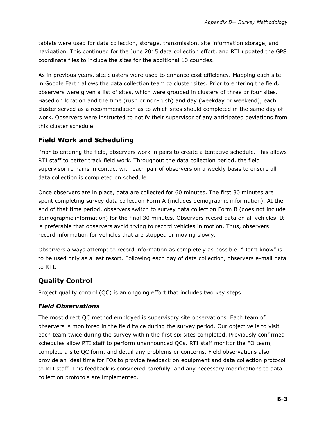tablets were used for data collection, storage, transmission, site information storage, and navigation. This continued for the June 2015 data collection effort, and RTI updated the GPS coordinate files to include the sites for the additional 10 counties.

As in previous years, site clusters were used to enhance cost efficiency. Mapping each site in Google Earth allows the data collection team to cluster sites. Prior to entering the field, observers were given a list of sites, which were grouped in clusters of three or four sites. Based on location and the time (rush or non-rush) and day (weekday or weekend), each cluster served as a recommendation as to which sites should completed in the same day of work. Observers were instructed to notify their supervisor of any anticipated deviations from this cluster schedule.

### **Field Work and Scheduling**

Prior to entering the field, observers work in pairs to create a tentative schedule. This allows RTI staff to better track field work. Throughout the data collection period, the field supervisor remains in contact with each pair of observers on a weekly basis to ensure all data collection is completed on schedule.

Once observers are in place, data are collected for 60 minutes. The first 30 minutes are spent completing survey data collection Form A (includes demographic information). At the end of that time period, observers switch to survey data collection Form B (does not include demographic information) for the final 30 minutes. Observers record data on all vehicles. It is preferable that observers avoid trying to record vehicles in motion. Thus, observers record information for vehicles that are stopped or moving slowly.

Observers always attempt to record information as completely as possible. "Don't know" is to be used only as a last resort. Following each day of data collection, observers e-mail data to RTI.

## **Quality Control**

Project quality control (QC) is an ongoing effort that includes two key steps.

#### *Field Observations*

The most direct QC method employed is supervisory site observations. Each team of observers is monitored in the field twice during the survey period. Our objective is to visit each team twice during the survey within the first six sites completed. Previously confirmed schedules allow RTI staff to perform unannounced QCs. RTI staff monitor the FO team, complete a site QC form, and detail any problems or concerns. Field observations also provide an ideal time for FOs to provide feedback on equipment and data collection protocol to RTI staff. This feedback is considered carefully, and any necessary modifications to data collection protocols are implemented.